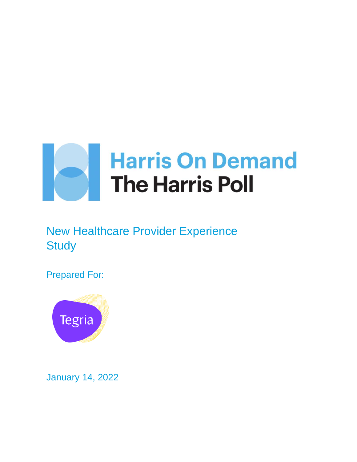

# New Healthcare Provider Experience **Study**

Prepared For:



January 14, 2022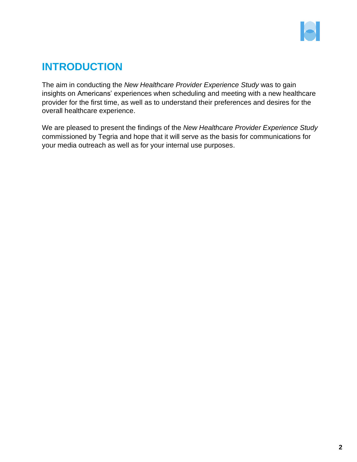

## **INTRODUCTION**

The aim in conducting the *New Healthcare Provider Experience Study* was to gain insights on Americans' experiences when scheduling and meeting with a new healthcare provider for the first time, as well as to understand their preferences and desires for the overall healthcare experience.

We are pleased to present the findings of the *New Healthcare Provider Experience Study* commissioned by Tegria and hope that it will serve as the basis for communications for your media outreach as well as for your internal use purposes.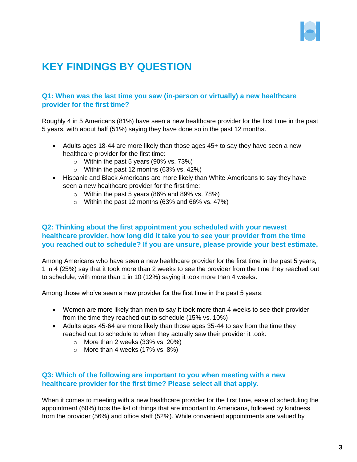

## **KEY FINDINGS BY QUESTION**

## **Q1: When was the last time you saw (in-person or virtually) a new healthcare provider for the first time?**

Roughly 4 in 5 Americans (81%) have seen a new healthcare provider for the first time in the past 5 years, with about half (51%) saying they have done so in the past 12 months.

- Adults ages 18-44 are more likely than those ages 45+ to say they have seen a new healthcare provider for the first time:
	- $\circ$  Within the past 5 years (90% vs. 73%)
	- o Within the past 12 months (63% vs. 42%)
- Hispanic and Black Americans are more likely than White Americans to say they have seen a new healthcare provider for the first time:
	- $\circ$  Within the past 5 years (86% and 89% vs. 78%)
	- $\circ$  Within the past 12 months (63% and 66% vs. 47%)

## **Q2: Thinking about the first appointment you scheduled with your newest healthcare provider, how long did it take you to see your provider from the time you reached out to schedule? If you are unsure, please provide your best estimate.**

Among Americans who have seen a new healthcare provider for the first time in the past 5 years, 1 in 4 (25%) say that it took more than 2 weeks to see the provider from the time they reached out to schedule, with more than 1 in 10 (12%) saying it took more than 4 weeks.

Among those who've seen a new provider for the first time in the past 5 years:

- Women are more likely than men to say it took more than 4 weeks to see their provider from the time they reached out to schedule (15% vs. 10%)
- Adults ages 45-64 are more likely than those ages 35-44 to say from the time they reached out to schedule to when they actually saw their provider it took:
	- o More than 2 weeks (33% vs. 20%)
	- $\circ$  More than 4 weeks (17% vs. 8%)

#### **Q3: Which of the following are important to you when meeting with a new healthcare provider for the first time? Please select all that apply.**

When it comes to meeting with a new healthcare provider for the first time, ease of scheduling the appointment (60%) tops the list of things that are important to Americans, followed by kindness from the provider (56%) and office staff (52%). While convenient appointments are valued by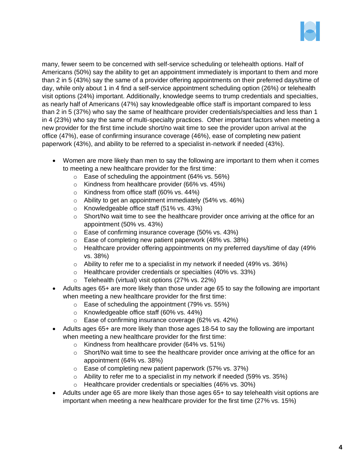

many, fewer seem to be concerned with self-service scheduling or telehealth options. Half of Americans (50%) say the ability to get an appointment immediately is important to them and more than 2 in 5 (43%) say the same of a provider offering appointments on their preferred days/time of day, while only about 1 in 4 find a self-service appointment scheduling option (26%) or telehealth visit options (24%) important. Additionally, knowledge seems to trump credentials and specialties, as nearly half of Americans (47%) say knowledgeable office staff is important compared to less than 2 in 5 (37%) who say the same of healthcare provider credentials/specialties and less than 1 in 4 (23%) who say the same of multi-specialty practices. Other important factors when meeting a new provider for the first time include short/no wait time to see the provider upon arrival at the office (47%), ease of confirming insurance coverage (46%), ease of completing new patient paperwork (43%), and ability to be referred to a specialist in-network if needed (43%).

- Women are more likely than men to say the following are important to them when it comes to meeting a new healthcare provider for the first time:
	- $\circ$  Ease of scheduling the appointment (64% vs. 56%)
	- o Kindness from healthcare provider (66% vs. 45%)
	- o Kindness from office staff (60% vs. 44%)
	- $\circ$  Ability to get an appointment immediately (54% vs. 46%)
	- o Knowledgeable office staff (51% vs. 43%)
	- $\circ$  Short/No wait time to see the healthcare provider once arriving at the office for an appointment (50% vs. 43%)
	- o Ease of confirming insurance coverage (50% vs. 43%)
	- o Ease of completing new patient paperwork (48% vs. 38%)
	- $\circ$  Healthcare provider offering appointments on my preferred days/time of day (49%) vs. 38%)
	- o Ability to refer me to a specialist in my network if needed (49% vs. 36%)
	- o Healthcare provider credentials or specialties (40% vs. 33%)
	- o Telehealth (virtual) visit options (27% vs. 22%)
- Adults ages 65+ are more likely than those under age 65 to say the following are important when meeting a new healthcare provider for the first time:
	- $\circ$  Ease of scheduling the appointment (79% vs. 55%)
	- o Knowledgeable office staff (60% vs. 44%)
	- o Ease of confirming insurance coverage (62% vs. 42%)
- Adults ages 65+ are more likely than those ages 18-54 to say the following are important when meeting a new healthcare provider for the first time:
	- o Kindness from healthcare provider (64% vs. 51%)
	- o Short/No wait time to see the healthcare provider once arriving at the office for an appointment (64% vs. 38%)
	- o Ease of completing new patient paperwork (57% vs. 37%)
	- $\circ$  Ability to refer me to a specialist in my network if needed (59% vs. 35%)
	- o Healthcare provider credentials or specialties (46% vs. 30%)
- Adults under age 65 are more likely than those ages 65+ to say telehealth visit options are important when meeting a new healthcare provider for the first time (27% vs. 15%)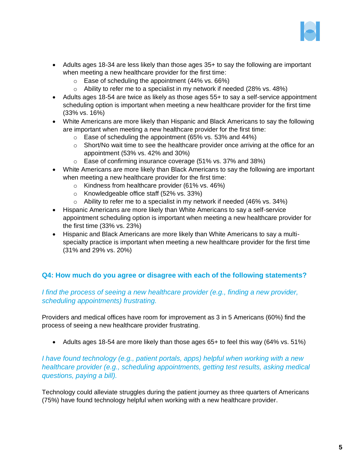

- Adults ages 18-34 are less likely than those ages 35+ to say the following are important when meeting a new healthcare provider for the first time:
	- $\circ$  Ease of scheduling the appointment (44% vs. 66%)
	- $\circ$  Ability to refer me to a specialist in my network if needed (28% vs. 48%)
- Adults ages 18-54 are twice as likely as those ages 55+ to say a self-service appointment scheduling option is important when meeting a new healthcare provider for the first time (33% vs. 16%)
- White Americans are more likely than Hispanic and Black Americans to say the following are important when meeting a new healthcare provider for the first time:
	- $\circ$  Ease of scheduling the appointment (65% vs. 53% and 44%)
	- $\circ$  Short/No wait time to see the healthcare provider once arriving at the office for an appointment (53% vs. 42% and 30%)
	- o Ease of confirming insurance coverage (51% vs. 37% and 38%)
- White Americans are more likely than Black Americans to say the following are important when meeting a new healthcare provider for the first time:
	- o Kindness from healthcare provider (61% vs. 46%)
	- o Knowledgeable office staff (52% vs. 33%)
	- o Ability to refer me to a specialist in my network if needed (46% vs. 34%)
- Hispanic Americans are more likely than White Americans to say a self-service appointment scheduling option is important when meeting a new healthcare provider for the first time (33% vs. 23%)
- Hispanic and Black Americans are more likely than White Americans to say a multispecialty practice is important when meeting a new healthcare provider for the first time (31% and 29% vs. 20%)

## **Q4: How much do you agree or disagree with each of the following statements?**

#### *I find the process of seeing a new healthcare provider (e.g., finding a new provider, scheduling appointments) frustrating.*

Providers and medical offices have room for improvement as 3 in 5 Americans (60%) find the process of seeing a new healthcare provider frustrating.

• Adults ages 18-54 are more likely than those ages 65+ to feel this way (64% vs. 51%)

*I have found technology (e.g., patient portals, apps) helpful when working with a new healthcare provider (e.g., scheduling appointments, getting test results, asking medical questions, paying a bill).*

Technology could alleviate struggles during the patient journey as three quarters of Americans (75%) have found technology helpful when working with a new healthcare provider.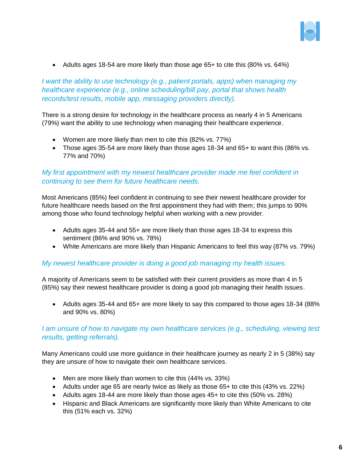

• Adults ages 18-54 are more likely than those age 65+ to cite this (80% vs. 64%)

*I want the ability to use technology (e.g., patient portals, apps) when managing my healthcare experience (e.g., online scheduling/bill pay, portal that shows health records/test results, mobile app, messaging providers directly).*

There is a strong desire for technology in the healthcare process as nearly 4 in 5 Americans (79%) want the ability to use technology when managing their healthcare experience.

- Women are more likely than men to cite this (82% vs. 77%)
- Those ages 35-54 are more likely than those ages 18-34 and 65+ to want this (86% vs. 77% and 70%)

## *My first appointment with my newest healthcare provider made me feel confident in continuing to see them for future healthcare needs.*

Most Americans (85%) feel confident in continuing to see their newest healthcare provider for future healthcare needs based on the first appointment they had with them; this jumps to 90% among those who found technology helpful when working with a new provider.

- Adults ages 35-44 and 55+ are more likely than those ages 18-34 to express this sentiment (86% and 90% vs. 78%)
- White Americans are more likely than Hispanic Americans to feel this way (87% vs. 79%)

#### *My newest healthcare provider is doing a good job managing my health issues.*

A majority of Americans seem to be satisfied with their current providers as more than 4 in 5 (85%) say their newest healthcare provider is doing a good job managing their health issues.

• Adults ages 35-44 and 65+ are more likely to say this compared to those ages 18-34 (88% and 90% vs. 80%)

#### *I am unsure of how to navigate my own healthcare services (e.g., scheduling, viewing test results, getting referrals).*

Many Americans could use more guidance in their healthcare journey as nearly 2 in 5 (38%) say they are unsure of how to navigate their own healthcare services.

- Men are more likely than women to cite this (44% vs. 33%)
- Adults under age 65 are nearly twice as likely as those 65+ to cite this (43% vs. 22%)
- Adults ages 18-44 are more likely than those ages 45+ to cite this (50% vs. 28%)
- Hispanic and Black Americans are significantly more likely than White Americans to cite this (51% each vs. 32%)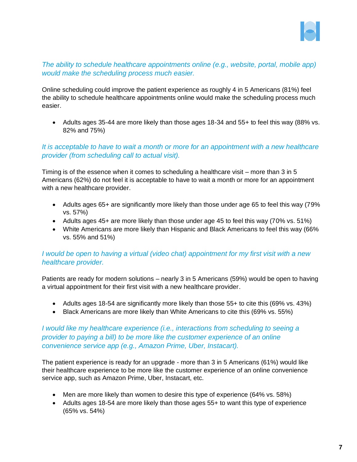

#### *The ability to schedule healthcare appointments online (e.g., website, portal, mobile app) would make the scheduling process much easier.*

Online scheduling could improve the patient experience as roughly 4 in 5 Americans (81%) feel the ability to schedule healthcare appointments online would make the scheduling process much easier.

• Adults ages 35-44 are more likely than those ages 18-34 and 55+ to feel this way (88% vs. 82% and 75%)

#### *It is acceptable to have to wait a month or more for an appointment with a new healthcare provider (from scheduling call to actual visit).*

Timing is of the essence when it comes to scheduling a healthcare visit – more than 3 in 5 Americans (62%) do not feel it is acceptable to have to wait a month or more for an appointment with a new healthcare provider.

- Adults ages 65+ are significantly more likely than those under age 65 to feel this way (79% vs. 57%)
- Adults ages 45+ are more likely than those under age 45 to feel this way (70% vs. 51%)
- White Americans are more likely than Hispanic and Black Americans to feel this way (66% vs. 55% and 51%)

#### *I would be open to having a virtual (video chat) appointment for my first visit with a new healthcare provider.*

Patients are ready for modern solutions – nearly 3 in 5 Americans (59%) would be open to having a virtual appointment for their first visit with a new healthcare provider.

- Adults ages 18-54 are significantly more likely than those 55+ to cite this (69% vs. 43%)
- Black Americans are more likely than White Americans to cite this (69% vs. 55%)

#### *I* would like my healthcare experience (i.e., interactions from scheduling to seeing a *provider to paying a bill) to be more like the customer experience of an online convenience service app (e.g., Amazon Prime, Uber, Instacart).*

The patient experience is ready for an upgrade - more than 3 in 5 Americans (61%) would like their healthcare experience to be more like the customer experience of an online convenience service app, such as Amazon Prime, Uber, Instacart, etc.

- Men are more likely than women to desire this type of experience (64% vs. 58%)
- Adults ages 18-54 are more likely than those ages 55+ to want this type of experience (65% vs. 54%)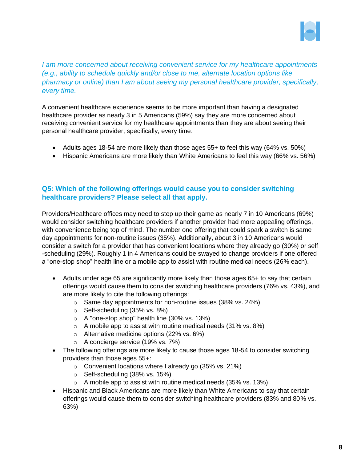

*I am more concerned about receiving convenient service for my healthcare appointments (e.g., ability to schedule quickly and/or close to me, alternate location options like pharmacy or online) than I am about seeing my personal healthcare provider, specifically, every time.*

A convenient healthcare experience seems to be more important than having a designated healthcare provider as nearly 3 in 5 Americans (59%) say they are more concerned about receiving convenient service for my healthcare appointments than they are about seeing their personal healthcare provider, specifically, every time.

- Adults ages 18-54 are more likely than those ages 55+ to feel this way (64% vs. 50%)
- Hispanic Americans are more likely than White Americans to feel this way (66% vs. 56%)

## **Q5: Which of the following offerings would cause you to consider switching healthcare providers? Please select all that apply.**

Providers/Healthcare offices may need to step up their game as nearly 7 in 10 Americans (69%) would consider switching healthcare providers if another provider had more appealing offerings, with convenience being top of mind. The number one offering that could spark a switch is same day appointments for non-routine issues (35%). Additionally, about 3 in 10 Americans would consider a switch for a provider that has convenient locations where they already go (30%) or self -scheduling (29%). Roughly 1 in 4 Americans could be swayed to change providers if one offered a "one-stop shop" health line or a mobile app to assist with routine medical needs (26% each).

- Adults under age 65 are significantly more likely than those ages 65+ to say that certain offerings would cause them to consider switching healthcare providers (76% vs. 43%), and are more likely to cite the following offerings:
	- o Same day appointments for non-routine issues (38% vs. 24%)
	- o Self-scheduling (35% vs. 8%)
	- o A ''one-stop shop'' health line (30% vs. 13%)
	- $\circ$  A mobile app to assist with routine medical needs (31% vs. 8%)
	- o Alternative medicine options (22% vs. 6%)
	- o A concierge service (19% vs. 7%)
- The following offerings are more likely to cause those ages 18-54 to consider switching providers than those ages 55+:
	- o Convenient locations where I already go (35% vs. 21%)
	- o Self-scheduling (38% vs. 15%)
	- $\circ$  A mobile app to assist with routine medical needs (35% vs. 13%)
- Hispanic and Black Americans are more likely than White Americans to say that certain offerings would cause them to consider switching healthcare providers (83% and 80% vs. 63%)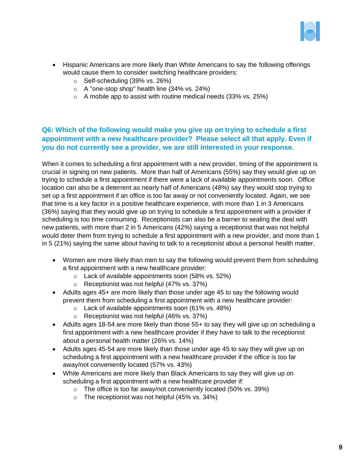

- Hispanic Americans are more likely than White Americans to say the following offerings would cause them to consider switching healthcare providers:
	- o Self-scheduling (39% vs. 26%)
	- o A ''one-stop shop'' health line (34% vs. 24%)
	- $\circ$  A mobile app to assist with routine medical needs (33% vs. 25%)

## **Q6: Which of the following would make you give up on trying to schedule a first appointment with a new healthcare provider? Please select all that apply. Even if you do not currently see a provider, we are still interested in your response.**

When it comes to scheduling a first appointment with a new provider, timing of the appointment is crucial in signing on new patients. More than half of Americans (55%) say they would give up on trying to schedule a first appointment if there were a lack of available appointments soon. Office location can also be a deterrent as nearly half of Americans (48%) say they would stop trying to set up a first appointment if an office is too far away or not conveniently located. Again, we see that time is a key factor in a positive healthcare experience, with more than 1 in 3 Americans (36%) saying that they would give up on trying to schedule a first appointment with a provider if scheduling is too time consuming. Receptionists can also be a barrier to sealing the deal with new patients, with more than 2 in 5 Americans (42%) saying a receptionist that was not helpful would deter them from trying to schedule a first appointment with a new provider, and more than 1 in 5 (21%) saying the same about having to talk to a receptionist about a personal health matter.

- Women are more likely than men to say the following would prevent them from scheduling a first appointment with a new healthcare provider:
	- o Lack of available appointments soon (58% vs. 52%)
	- o Receptionist was not helpful (47% vs. 37%)
- Adults ages 45+ are more likely than those under age 45 to say the following would prevent them from scheduling a first appointment with a new healthcare provider:
	- $\circ$  Lack of available appointments soon (61% vs. 48%)
	- o Receptionist was not helpful (46% vs. 37%)
- Adults ages 18-54 are more likely than those 55+ to say they will give up on scheduling a first appointment with a new healthcare provider if they have to talk to the receptionist about a personal health matter (26% vs. 14%)
- Adults ages 45-54 are more likely than those under age 45 to say they will give up on scheduling a first appointment with a new healthcare provider if the office is too far away/not conveniently located (57% vs. 43%)
- White Americans are more likely than Black Americans to say they will give up on scheduling a first appointment with a new healthcare provider if:
	- $\circ$  The office is too far away/not conveniently located (50% vs. 39%)
	- $\circ$  The receptionist was not helpful (45% vs. 34%)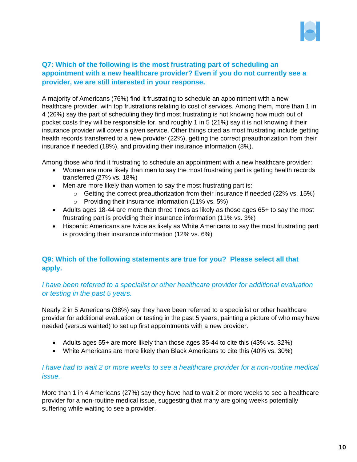

## **Q7: Which of the following is the most frustrating part of scheduling an appointment with a new healthcare provider? Even if you do not currently see a provider, we are still interested in your response.**

A majority of Americans (76%) find it frustrating to schedule an appointment with a new healthcare provider, with top frustrations relating to cost of services. Among them, more than 1 in 4 (26%) say the part of scheduling they find most frustrating is not knowing how much out of pocket costs they will be responsible for, and roughly 1 in 5 (21%) say it is not knowing if their insurance provider will cover a given service. Other things cited as most frustrating include getting health records transferred to a new provider (22%), getting the correct preauthorization from their insurance if needed (18%), and providing their insurance information (8%).

Among those who find it frustrating to schedule an appointment with a new healthcare provider:

- Women are more likely than men to say the most frustrating part is getting health records transferred (27% vs. 18%)
- Men are more likely than women to say the most frustrating part is:
	- $\circ$  Getting the correct preauthorization from their insurance if needed (22% vs. 15%)
	- o Providing their insurance information (11% vs. 5%)
- Adults ages 18-44 are more than three times as likely as those ages 65+ to say the most frustrating part is providing their insurance information (11% vs. 3%)
- Hispanic Americans are twice as likely as White Americans to say the most frustrating part is providing their insurance information (12% vs. 6%)

## **Q9: Which of the following statements are true for you? Please select all that apply.**

#### *I have been referred to a specialist or other healthcare provider for additional evaluation or testing in the past 5 years.*

Nearly 2 in 5 Americans (38%) say they have been referred to a specialist or other healthcare provider for additional evaluation or testing in the past 5 years, painting a picture of who may have needed (versus wanted) to set up first appointments with a new provider.

- Adults ages 55+ are more likely than those ages 35-44 to cite this (43% vs. 32%)
- White Americans are more likely than Black Americans to cite this (40% vs. 30%)

#### *I have had to wait 2 or more weeks to see a healthcare provider for a non-routine medical issue.*

More than 1 in 4 Americans (27%) say they have had to wait 2 or more weeks to see a healthcare provider for a non-routine medical issue, suggesting that many are going weeks potentially suffering while waiting to see a provider.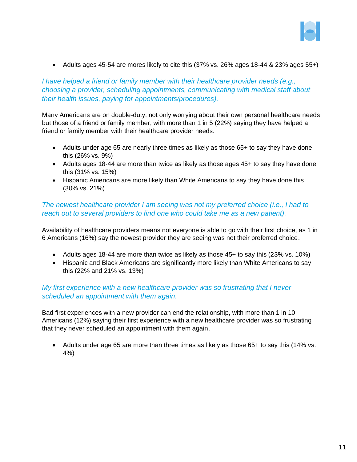

• Adults ages 45-54 are mores likely to cite this (37% vs. 26% ages 18-44 & 23% ages 55+)

*I have helped a friend or family member with their healthcare provider needs (e.g., choosing a provider, scheduling appointments, communicating with medical staff about their health issues, paying for appointments/procedures).*

Many Americans are on double-duty, not only worrying about their own personal healthcare needs but those of a friend or family member, with more than 1 in 5 (22%) saying they have helped a friend or family member with their healthcare provider needs.

- Adults under age 65 are nearly three times as likely as those 65+ to say they have done this (26% vs. 9%)
- Adults ages 18-44 are more than twice as likely as those ages 45+ to say they have done this (31% vs. 15%)
- Hispanic Americans are more likely than White Americans to say they have done this (30% vs. 21%)

#### *The newest healthcare provider I am seeing was not my preferred choice (i.e., I had to reach out to several providers to find one who could take me as a new patient).*

Availability of healthcare providers means not everyone is able to go with their first choice, as 1 in 6 Americans (16%) say the newest provider they are seeing was not their preferred choice.

- Adults ages 18-44 are more than twice as likely as those 45+ to say this (23% vs. 10%)
- Hispanic and Black Americans are significantly more likely than White Americans to say this (22% and 21% vs. 13%)

#### *My first experience with a new healthcare provider was so frustrating that I never scheduled an appointment with them again.*

Bad first experiences with a new provider can end the relationship, with more than 1 in 10 Americans (12%) saying their first experience with a new healthcare provider was so frustrating that they never scheduled an appointment with them again.

• Adults under age 65 are more than three times as likely as those 65+ to say this (14% vs. 4%)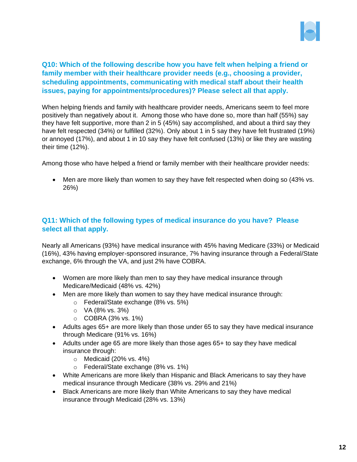

## **Q10: Which of the following describe how you have felt when helping a friend or family member with their healthcare provider needs (e.g., choosing a provider, scheduling appointments, communicating with medical staff about their health issues, paying for appointments/procedures)? Please select all that apply.**

When helping friends and family with healthcare provider needs, Americans seem to feel more positively than negatively about it. Among those who have done so, more than half (55%) say they have felt supportive, more than 2 in 5 (45%) say accomplished, and about a third say they have felt respected (34%) or fulfilled (32%). Only about 1 in 5 say they have felt frustrated (19%) or annoyed (17%), and about 1 in 10 say they have felt confused (13%) or like they are wasting their time (12%).

Among those who have helped a friend or family member with their healthcare provider needs:

• Men are more likely than women to say they have felt respected when doing so (43% vs. 26%)

## **Q11: Which of the following types of medical insurance do you have? Please select all that apply.**

Nearly all Americans (93%) have medical insurance with 45% having Medicare (33%) or Medicaid (16%), 43% having employer-sponsored insurance, 7% having insurance through a Federal/State exchange, 6% through the VA, and just 2% have COBRA.

- Women are more likely than men to say they have medical insurance through Medicare/Medicaid (48% vs. 42%)
- Men are more likely than women to say they have medical insurance through:
	- o Federal/State exchange (8% vs. 5%)
	- $O$  VA (8% vs. 3%)
	- $\circ$  COBRA (3% vs. 1%)
- Adults ages 65+ are more likely than those under 65 to say they have medical insurance through Medicare (91% vs. 16%)
- Adults under age 65 are more likely than those ages 65+ to say they have medical insurance through:
	- $\circ$  Medicaid (20% vs. 4%)
	- o Federal/State exchange (8% vs. 1%)
- White Americans are more likely than Hispanic and Black Americans to say they have medical insurance through Medicare (38% vs. 29% and 21%)
- Black Americans are more likely than White Americans to say they have medical insurance through Medicaid (28% vs. 13%)